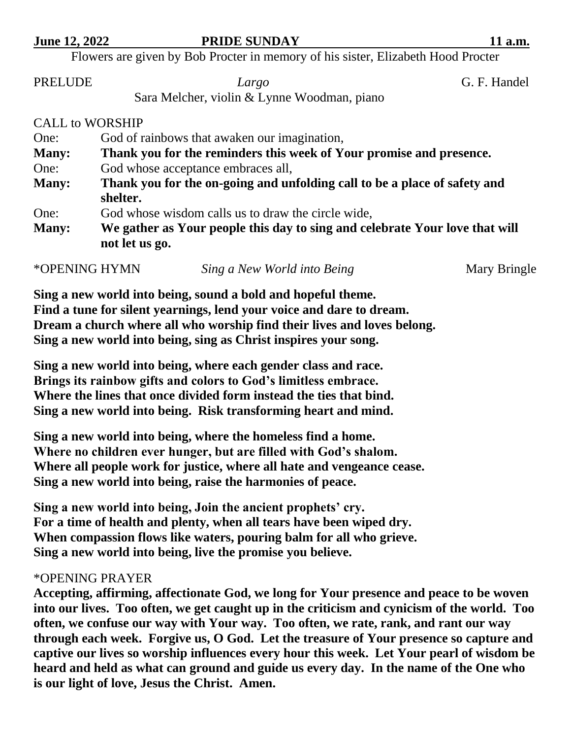## **June 12, 2022 PRIDE SUNDAY** 11 a.m.

Flowers are given by Bob Procter in memory of his sister, Elizabeth Hood Procter

PRELUDE *Largo* G. F. Handel

Sara Melcher, violin & Lynne Woodman, piano

CALL to WORSHIP

| One:         | God of rainbows that awaken our imagination,                                                  |  |  |
|--------------|-----------------------------------------------------------------------------------------------|--|--|
| <b>Many:</b> | Thank you for the reminders this week of Your promise and presence.                           |  |  |
| One:         | God whose acceptance embraces all,                                                            |  |  |
| <b>Many:</b> | Thank you for the on-going and unfolding call to be a place of safety and                     |  |  |
|              | shelter.                                                                                      |  |  |
| One:         | God whose wisdom calls us to draw the circle wide,                                            |  |  |
| <b>Many:</b> | We gather as Your people this day to sing and celebrate Your love that will<br>not let us go. |  |  |
|              |                                                                                               |  |  |

\*OPENING HYMN *Sing a New World into Being* Mary Bringle

**Sing a new world into being, sound a bold and hopeful theme. Find a tune for silent yearnings, lend your voice and dare to dream. Dream a church where all who worship find their lives and loves belong. Sing a new world into being, sing as Christ inspires your song.**

**Sing a new world into being, where each gender class and race. Brings its rainbow gifts and colors to God's limitless embrace. Where the lines that once divided form instead the ties that bind. Sing a new world into being. Risk transforming heart and mind.**

**Sing a new world into being, where the homeless find a home. Where no children ever hunger, but are filled with God's shalom. Where all people work for justice, where all hate and vengeance cease. Sing a new world into being, raise the harmonies of peace.**

**Sing a new world into being, Join the ancient prophets' cry. For a time of health and plenty, when all tears have been wiped dry. When compassion flows like waters, pouring balm for all who grieve. Sing a new world into being, live the promise you believe.**

## \*OPENING PRAYER

**Accepting, affirming, affectionate God, we long for Your presence and peace to be woven into our lives. Too often, we get caught up in the criticism and cynicism of the world. Too often, we confuse our way with Your way. Too often, we rate, rank, and rant our way through each week. Forgive us, O God. Let the treasure of Your presence so capture and captive our lives so worship influences every hour this week. Let Your pearl of wisdom be heard and held as what can ground and guide us every day. In the name of the One who is our light of love, Jesus the Christ. Amen.**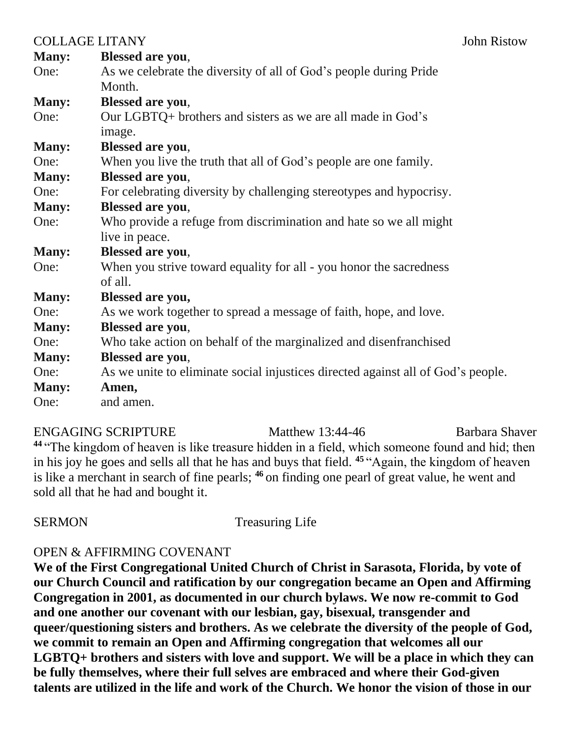| <b>COLLAGE LITANY</b> |                                                                                  | John Ristow |
|-----------------------|----------------------------------------------------------------------------------|-------------|
| <b>Many:</b>          | <b>Blessed are you,</b>                                                          |             |
| One:                  | As we celebrate the diversity of all of God's people during Pride                |             |
|                       | Month.                                                                           |             |
| <b>Many:</b>          | <b>Blessed are you,</b>                                                          |             |
| One:                  | Our LGBTQ+ brothers and sisters as we are all made in God's                      |             |
|                       | image.                                                                           |             |
| <b>Many:</b>          | <b>Blessed are you,</b>                                                          |             |
| One:                  | When you live the truth that all of God's people are one family.                 |             |
| Many:                 | <b>Blessed are you,</b>                                                          |             |
| One:                  | For celebrating diversity by challenging stereotypes and hypocrisy.              |             |
| <b>Many:</b>          | <b>Blessed are you,</b>                                                          |             |
| One:                  | Who provide a refuge from discrimination and hate so we all might                |             |
|                       | live in peace.                                                                   |             |
| <b>Many:</b>          | <b>Blessed are you,</b>                                                          |             |
| One:                  | When you strive toward equality for all - you honor the sacredness<br>of all.    |             |
|                       |                                                                                  |             |
| <b>Many:</b><br>One:  | <b>Blessed are you,</b>                                                          |             |
|                       | As we work together to spread a message of faith, hope, and love.                |             |
| <b>Many:</b>          | <b>Blessed are you,</b>                                                          |             |
| One:                  | Who take action on behalf of the marginalized and disenfranchised                |             |
| <b>Many:</b>          | <b>Blessed are you,</b>                                                          |             |
| One:                  | As we unite to eliminate social injustices directed against all of God's people. |             |
| <b>Many:</b>          | Amen,                                                                            |             |
| One:                  | and amen.                                                                        |             |

ENGAGING SCRIPTURE Matthew 13:44-46 Barbara Shaver **<sup>44</sup>** "The kingdom of heaven is like treasure hidden in a field, which someone found and hid; then in his joy he goes and sells all that he has and buys that field. **<sup>45</sup>** "Again, the kingdom of heaven is like a merchant in search of fine pearls; **<sup>46</sup>** on finding one pearl of great value, he went and sold all that he had and bought it.

SERMON Treasuring Life

## OPEN & AFFIRMING COVENANT

**We of the First Congregational United Church of Christ in Sarasota, Florida, by vote of our Church Council and ratification by our congregation became an Open and Affirming Congregation in 2001, as documented in our church bylaws. We now re-commit to God and one another our covenant with our lesbian, gay, bisexual, transgender and queer/questioning sisters and brothers. As we celebrate the diversity of the people of God, we commit to remain an Open and Affirming congregation that welcomes all our LGBTQ+ brothers and sisters with love and support. We will be a place in which they can be fully themselves, where their full selves are embraced and where their God-given talents are utilized in the life and work of the Church. We honor the vision of those in our**